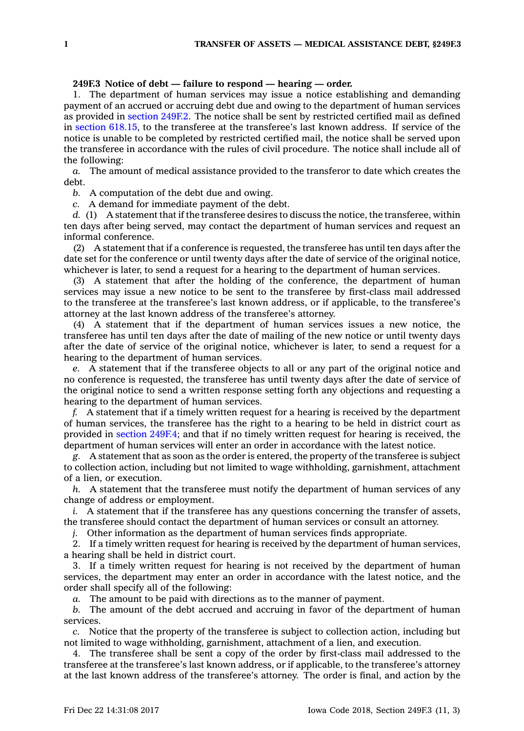## **249F.3 Notice of debt — failure to respond — hearing — order.**

1. The department of human services may issue <sup>a</sup> notice establishing and demanding payment of an accrued or accruing debt due and owing to the department of human services as provided in [section](https://www.legis.iowa.gov/docs/code/249F.2.pdf) 249F.2. The notice shall be sent by restricted certified mail as defined in section [618.15](https://www.legis.iowa.gov/docs/code/618.15.pdf), to the transferee at the transferee's last known address. If service of the notice is unable to be completed by restricted certified mail, the notice shall be served upon the transferee in accordance with the rules of civil procedure. The notice shall include all of the following:

*a.* The amount of medical assistance provided to the transferor to date which creates the debt.

*b.* A computation of the debt due and owing.

*c.* A demand for immediate payment of the debt.

*d.* (1) A statement that if the transferee desires to discuss the notice, the transferee, within ten days after being served, may contact the department of human services and request an informal conference.

(2) A statement that if <sup>a</sup> conference is requested, the transferee has until ten days after the date set for the conference or until twenty days after the date of service of the original notice, whichever is later, to send <sup>a</sup> request for <sup>a</sup> hearing to the department of human services.

(3) A statement that after the holding of the conference, the department of human services may issue <sup>a</sup> new notice to be sent to the transferee by first-class mail addressed to the transferee at the transferee's last known address, or if applicable, to the transferee's attorney at the last known address of the transferee's attorney.

(4) A statement that if the department of human services issues <sup>a</sup> new notice, the transferee has until ten days after the date of mailing of the new notice or until twenty days after the date of service of the original notice, whichever is later, to send <sup>a</sup> request for <sup>a</sup> hearing to the department of human services.

*e.* A statement that if the transferee objects to all or any part of the original notice and no conference is requested, the transferee has until twenty days after the date of service of the original notice to send <sup>a</sup> written response setting forth any objections and requesting <sup>a</sup> hearing to the department of human services.

*f.* A statement that if <sup>a</sup> timely written request for <sup>a</sup> hearing is received by the department of human services, the transferee has the right to <sup>a</sup> hearing to be held in district court as provided in section [249F.4](https://www.legis.iowa.gov/docs/code/249F.4.pdf); and that if no timely written request for hearing is received, the department of human services will enter an order in accordance with the latest notice.

*g.* A statement that as soon as the order is entered, the property of the transferee is subject to collection action, including but not limited to wage withholding, garnishment, attachment of <sup>a</sup> lien, or execution.

*h.* A statement that the transferee must notify the department of human services of any change of address or employment.

*i.* A statement that if the transferee has any questions concerning the transfer of assets, the transferee should contact the department of human services or consult an attorney.

*j.* Other information as the department of human services finds appropriate.

2. If <sup>a</sup> timely written request for hearing is received by the department of human services, <sup>a</sup> hearing shall be held in district court.

3. If <sup>a</sup> timely written request for hearing is not received by the department of human services, the department may enter an order in accordance with the latest notice, and the order shall specify all of the following:

*a.* The amount to be paid with directions as to the manner of payment.

*b.* The amount of the debt accrued and accruing in favor of the department of human services.

*c.* Notice that the property of the transferee is subject to collection action, including but not limited to wage withholding, garnishment, attachment of <sup>a</sup> lien, and execution.

4. The transferee shall be sent <sup>a</sup> copy of the order by first-class mail addressed to the transferee at the transferee's last known address, or if applicable, to the transferee's attorney at the last known address of the transferee's attorney. The order is final, and action by the